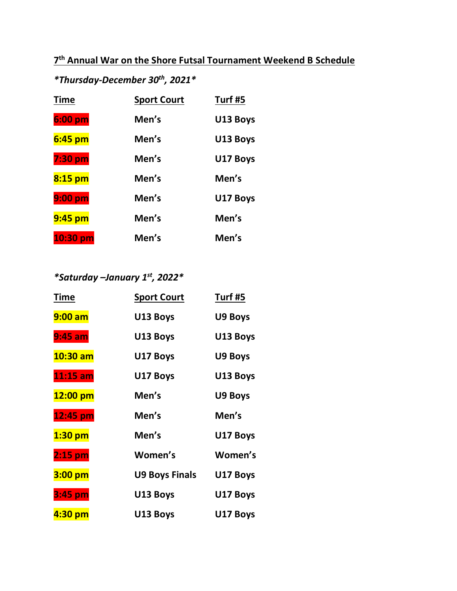# **7 th Annual War on the Shore Futsal Tournament Weekend B Schedule**

# *\*Thursday-December 30th, 2021\**

| <b>Time</b>      | <b>Sport Court</b> | Turf #5  |
|------------------|--------------------|----------|
| $6:00~\text{pm}$ | Men's              | U13 Boys |
| $6:45$ pm        | Men's              | U13 Boys |
| 7:30 pm          | Men's              | U17 Boys |
| $8:15$ pm        | Men's              | Men's    |
| $9:00~\text{pm}$ | Men's              | U17 Boys |
| 9:45 pm          | Men's              | Men's    |
| $10:30$ pm       | Men's              | Men's    |

# *\*Saturday –January 1st, 2022\**

| Time       | <b>Sport Court</b>    | Turf #5  |
|------------|-----------------------|----------|
| $9:00$ am  | U13 Boys              | U9 Boys  |
| $9:45$ am  | U13 Boys              | U13 Boys |
| $10:30$ am | U17 Boys              | U9 Boys  |
| $11:15$ am | U17 Boys              | U13 Boys |
| 12:00 pm   | Men's                 | U9 Boys  |
| 12:45 pm   | Men's                 | Men's    |
| $1:30$ pm  | Men's                 | U17 Boys |
| 2:15 pm    | Women's               | Women's  |
| 3:00 pm    | <b>U9 Boys Finals</b> | U17 Boys |
| 3:45 pm    | U13 Boys              | U17 Boys |
| 4:30 pm    | U13 Boys              | U17 Boys |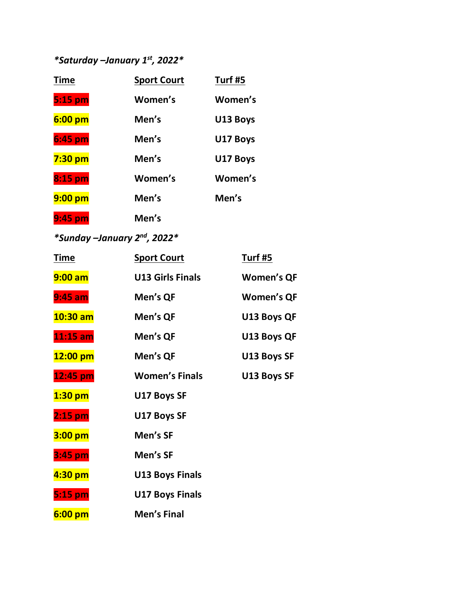# *\*Saturday –January 1st, 2022\**

| <b>Time</b> | <b>Sport Court</b> | Turf #5  |
|-------------|--------------------|----------|
| 5:15 pm     | Women's            | Women's  |
| $6:00$ pm   | Men's              | U13 Boys |
| 6:45 pm     | Men's              | U17 Boys |
| $7:30$ pm   | Men's              | U17 Boys |
| 8:15 pm     | Women's            | Women's  |
| $9:00$ pm   | Men's              | Men's    |
| 9:45 pm     | Men's              |          |

# *\*Sunday –January 2nd, 2022\**

| <u>Time</u>      | <b>Sport Court</b>      | <u>Turf #5</u>    |
|------------------|-------------------------|-------------------|
| $9:00$ am        | <b>U13 Girls Finals</b> | <b>Women's QF</b> |
| $9:45$ am        | Men's QF                | <b>Women's QF</b> |
| $10:30$ am       | Men's QF                | U13 Boys QF       |
| $11:15$ am       | Men's QF                | U13 Boys QF       |
| 12:00 pm         | Men's QF                | U13 Boys SF       |
| 12:45 pm         | <b>Women's Finals</b>   | U13 Boys SF       |
| $1:30$ pm        | U17 Boys SF             |                   |
| $2:15$ pm        | U17 Boys SF             |                   |
| $3:00$ pm        | Men's SF                |                   |
| 3:45 pm          | Men's SF                |                   |
| 4:30 pm          | <b>U13 Boys Finals</b>  |                   |
| 5:15 pm          | <b>U17 Boys Finals</b>  |                   |
| $6:00~\text{pm}$ | <b>Men's Final</b>      |                   |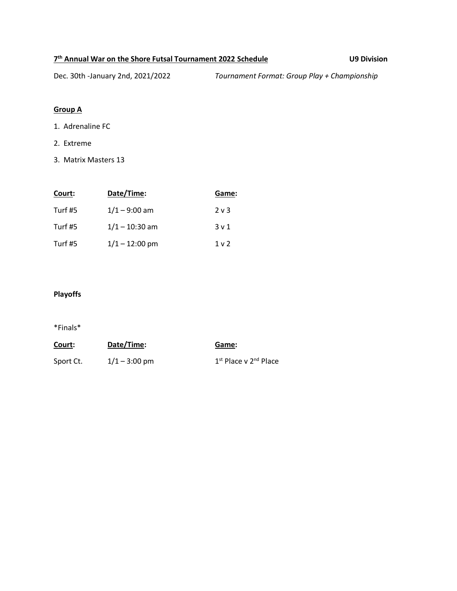#### **7 th Annual War on the Shore Futsal Tournament 2022 Schedule U9 Division**

Dec. 30th -January 2nd, 2021/2022 *Tournament Format: Group Play + Championship*

# **Group A**

- 1. Adrenaline FC
- 2. Extreme
- 3. Matrix Masters 13

| Court:  | Date/Time:       | Game:          |
|---------|------------------|----------------|
| Turf #5 | $1/1 - 9:00$ am  | $2 \vee 3$     |
| Turf #5 | $1/1 - 10:30$ am | 3 v 1          |
| Turf #5 | $1/1 - 12:00$ pm | 1 <sub>v</sub> |

## **Playoffs**

| Court:    | Date/Time:      | Game:                                         |
|-----------|-----------------|-----------------------------------------------|
| Sport Ct. | $1/1 - 3:00$ pm | 1 <sup>st</sup> Place v 2 <sup>nd</sup> Place |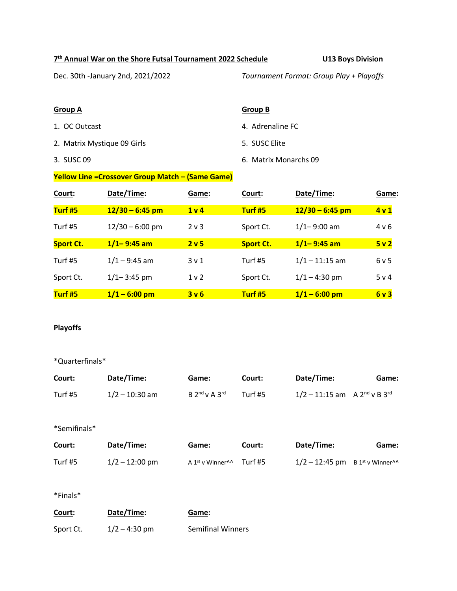#### **7 th Annual War on the Shore Futsal Tournament 2022 Schedule U13 Boys Division**

Dec. 30th -January 2nd, 2021/2022 *Tournament Format: Group Play + Playoffs*

#### **Group A Group B**

- 
- 2. Matrix Mystique 09 Girls 6. SUSC Elite
- 

- 1. OC Outcast **4. Adrenaline FC** 
	-
- 3. SUSC 09 6. Matrix Monarchs 09

# **Yellow Line =Crossover Group Match – (Same Game)**

| Court:           | Date/Time:        | Game:            | Court:           | Date/Time:        | Game: |
|------------------|-------------------|------------------|------------------|-------------------|-------|
| Turf #5          | $12/30 - 6:45$ pm | 1 <sub>v</sub>   | Turf #5          | $12/30 - 6:45$ pm | 4v1   |
| Turf #5          | $12/30 - 6:00$ pm | $2v$ 3           | Sport Ct.        | $1/1 - 9:00$ am   | 4 v 6 |
| <b>Sport Ct.</b> | $1/1 - 9:45$ am   | 2 <sub>v</sub> 5 | <b>Sport Ct.</b> | $1/1 - 9:45$ am   | 5v2   |
| Turf #5          | $1/1 - 9:45$ am   | 3 <sub>v</sub> 1 | Turf #5          | $1/1 - 11:15$ am  | 6v5   |
| Sport Ct.        | $1/1 - 3:45$ pm   | 1 <sub>v</sub>   | Sport Ct.        | $1/1 - 4:30$ pm   | 5 v 4 |
| Turf #5          | $1/1 - 6:00$ pm   | 3v6              | Turf #5          | $1/1 - 6:00$ pm   | 6v3   |

#### **Playoffs**

#### \*Quarterfinals\*

| Court:       | Date/Time:       | Game:                                    | Court:  | Date/Time:                                    | Game: |
|--------------|------------------|------------------------------------------|---------|-----------------------------------------------|-------|
| Turf #5      | $1/2 - 10:30$ am | $B$ 2 <sup>nd</sup> v A 3 <sup>rd</sup>  | Turf #5 | $1/2 - 11:15$ am A $2^{nd}$ v B $3^{rd}$      |       |
| *Semifinals* |                  |                                          |         |                                               |       |
| Court:       | Date/Time:       | Game:                                    | Court:  | Date/Time:                                    | Game: |
| Turf #5      | $1/2 - 12:00$ pm | A 1 <sup>st</sup> v Winner <sup>11</sup> | Turf #5 | $1/2 - 12:45$ pm B 1st v Winner <sup>11</sup> |       |
|              |                  |                                          |         |                                               |       |

| Court:    | Date/Time:      | Game:                    |
|-----------|-----------------|--------------------------|
| Sport Ct. | $1/2 - 4:30$ pm | <b>Semifinal Winners</b> |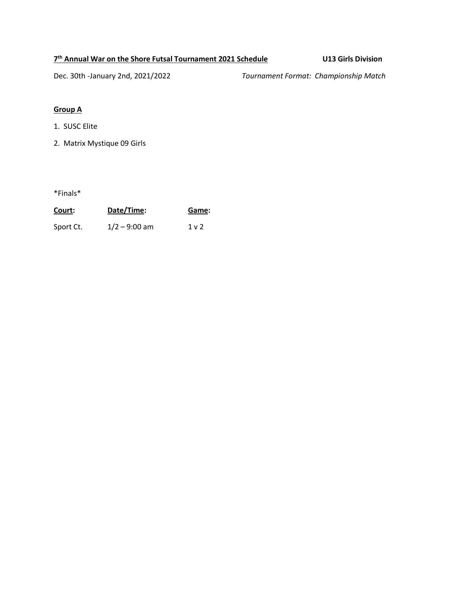### **7 th Annual War on the Shore Futsal Tournament 2021 Schedule U13 Girls Division**

Dec. 30th -January 2nd, 2021/2022 *Tournament Format: Championship Match*

# **Group A**

- 1. SUSC Elite
- 2. Matrix Mystique 09 Girls

| Court:    | Date/Time:      | Game:          |
|-----------|-----------------|----------------|
| Sport Ct. | $1/2 - 9:00$ am | 1 <sub>v</sub> |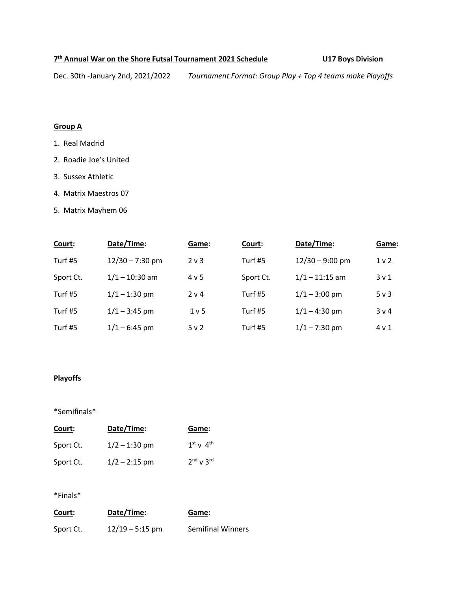#### **7 th Annual War on the Shore Futsal Tournament 2021 Schedule U17 Boys Division**

Dec. 30th -January 2nd, 2021/2022 *Tournament Format: Group Play + Top 4 teams make Playoffs* 

#### **Group A**

- 1. Real Madrid
- 2. Roadie Joe's United
- 3. Sussex Athletic
- 4. Matrix Maestros 07
- 5. Matrix Mayhem 06

| Court:    | Date/Time:        | Game:            | Court:    | Date/Time:        | Game:            |
|-----------|-------------------|------------------|-----------|-------------------|------------------|
| Turf #5   | $12/30 - 7:30$ pm | $2v$ 3           | Turf #5   | $12/30 - 9:00$ pm | 1 <sub>v</sub>   |
| Sport Ct. | $1/1 - 10:30$ am  | 4 v 5            | Sport Ct. | $1/1 - 11:15$ am  | 3 <sub>v</sub> 1 |
| Turf #5   | $1/1 - 1:30$ pm   | 2 v 4            | Turf #5   | $1/1 - 3:00$ pm   | $5v$ 3           |
| Turf #5   | $1/1 - 3:45$ pm   | 1 <sub>v</sub> 5 | Turf #5   | $1/1 - 4:30$ pm   | 3 v 4            |
| Turf #5   | $1/1 - 6:45$ pm   | 5v2              | Turf #5   | $1/1 - 7:30$ pm   | 4 v 1            |

# **Playoffs**

### \*Semifinals\*

| Court:    | Date/Time:      | Game:               |
|-----------|-----------------|---------------------|
| Sport Ct. | $1/2 - 1:30$ pm | $1^{st}$ v $4^{th}$ |
| Sport Ct. | $1/2 - 2:15$ pm | $2nd$ v $3rd$       |

| Court:    | Date/Time:        | Game:                    |
|-----------|-------------------|--------------------------|
| Sport Ct. | $12/19 - 5:15$ pm | <b>Semifinal Winners</b> |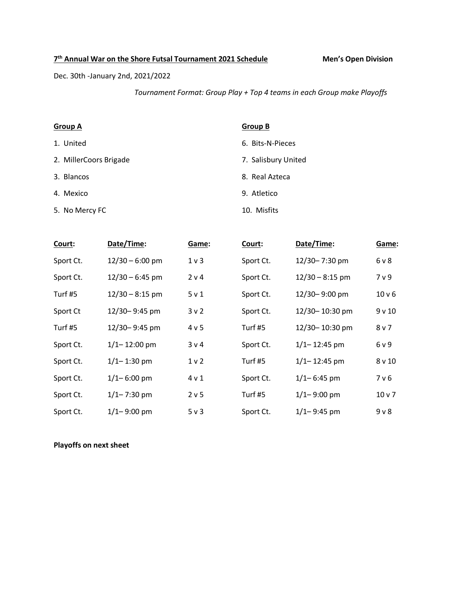#### **7 th Annual War on the Shore Futsal Tournament 2021 Schedule Men's Open Division**

Dec. 30th -January 2nd, 2021/2022

*Tournament Format: Group Play + Top 4 teams in each Group make Playoffs* 

#### **Group A Group B**

- 
- 2. MillerCoors Brigade 7. Salisbury United
- 
- 
- 5. No Mercy FC 10. Misfits

- 1. United 6. Bits-N-Pieces
	-
- 3. Blancos 8. Real Azteca
- 4. Mexico 9. Atletico
	-

| Court:    | Date/Time:        | Game:            | Court:    | Date/Time:        | Game:             |
|-----------|-------------------|------------------|-----------|-------------------|-------------------|
| Sport Ct. | $12/30 - 6:00$ pm | 1 <sub>v</sub>   | Sport Ct. | 12/30-7:30 pm     | 6 v 8             |
| Sport Ct. | $12/30 - 6:45$ pm | 2 v 4            | Sport Ct. | $12/30 - 8:15$ pm | 7 v 9             |
| Turf #5   | $12/30 - 8:15$ pm | 5 <sub>v</sub> 1 | Sport Ct. | 12/30-9:00 pm     | 10 v 6            |
| Sport Ct  | 12/30-9:45 pm     | 3 <sub>v</sub> 2 | Sport Ct. | 12/30-10:30 pm    | 9v10              |
| Turf #5   | 12/30-9:45 pm     | 4 v 5            | Turf #5   | 12/30-10:30 pm    | 8 <sub>v</sub>    |
| Sport Ct. | $1/1 - 12:00$ pm  | 3 v 4            | Sport Ct. | $1/1 - 12:45$ pm  | 6 v 9             |
| Sport Ct. | $1/1 - 1:30$ pm   | 1 <sub>v</sub>   | Turf #5   | $1/1 - 12:45$ pm  | 8 <sub>v</sub> 10 |
| Sport Ct. | $1/1 - 6:00$ pm   | 4 v 1            | Sport Ct. | $1/1 - 6:45$ pm   | 7 v 6             |
| Sport Ct. | $1/1 - 7:30$ pm   | 2 <sub>v</sub> 5 | Turf #5   | $1/1 - 9:00$ pm   | $10v$ 7           |
| Sport Ct. | $1/1 - 9:00$ pm   | $5v$ 3           | Sport Ct. | $1/1 - 9:45$ pm   | $9V$ 8            |

# **Playoffs on next sheet**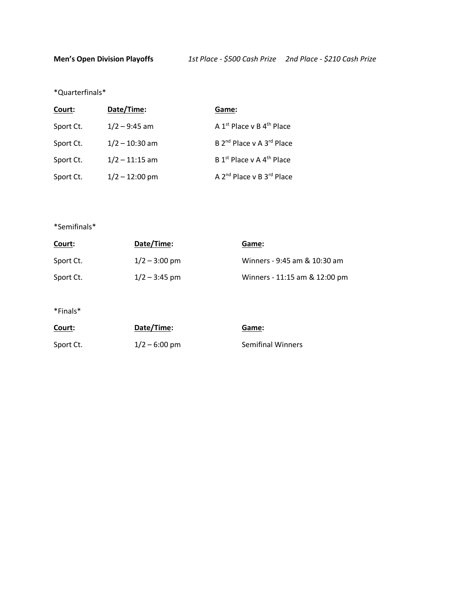\*Quarterfinals\*

| Court:    | Date/Time:       | Game:                                             |
|-----------|------------------|---------------------------------------------------|
| Sport Ct. | $1/2 - 9:45$ am  | A $1^{st}$ Place v B $4^{th}$ Place               |
| Sport Ct. | $1/2 - 10:30$ am | B 2 <sup>nd</sup> Place v A 3 <sup>rd</sup> Place |
| Sport Ct. | $1/2 - 11:15$ am | B 1 <sup>st</sup> Place v A 4 <sup>th</sup> Place |
| Sport Ct. | $1/2 - 12:00$ pm | A 2 <sup>nd</sup> Place v B 3 <sup>rd</sup> Place |

\*Semifinals\*

| <u>Court:</u> | Date/Time:      | Game:                         |
|---------------|-----------------|-------------------------------|
| Sport Ct.     | $1/2 - 3:00$ pm | Winners - 9:45 am & 10:30 am  |
| Sport Ct.     | $1/2 - 3:45$ pm | Winners - 11:15 am & 12:00 pm |

| Court:    | Date/Time:              | Game:                    |
|-----------|-------------------------|--------------------------|
| Sport Ct. | $1/2 - 6:00 \text{ pm}$ | <b>Semifinal Winners</b> |